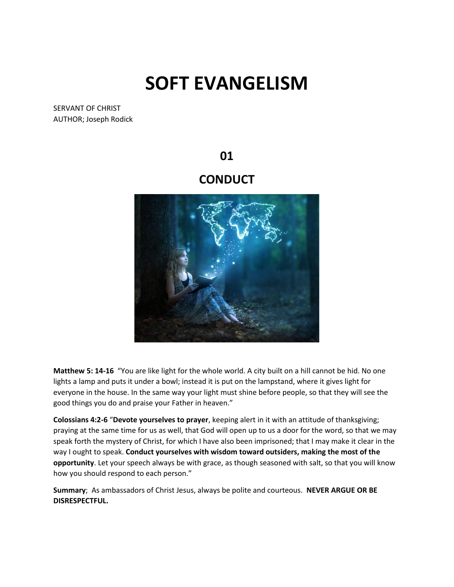# **SOFT EVANGELISM**

SERVANT OF CHRIST AUTHOR; Joseph Rodick

**01**

## **CONDUCT**



**Matthew 5: 14-16** "You are like light for the whole world. A city built on a hill cannot be hid. No one lights a lamp and puts it under a bowl; instead it is put on the lampstand, where it gives light for everyone in the house. In the same way your light must shine before people, so that they will see the good things you do and praise your Father in heaven."

**Colossians 4:2-6** "**Devote yourselves to prayer**, keeping alert in it with an attitude of thanksgiving; praying at the same time for us as well, that God will open up to us a door for the word, so that we may speak forth the mystery of Christ, for which I have also been imprisoned; that I may make it clear in the way I ought to speak. **Conduct yourselves with wisdom toward outsiders, making the most of the opportunity**. Let your speech always be with grace, as though seasoned with salt, so that you will know how you should respond to each person."

**Summary**; As ambassadors of Christ Jesus, always be polite and courteous. **NEVER ARGUE OR BE DISRESPECTFUL.**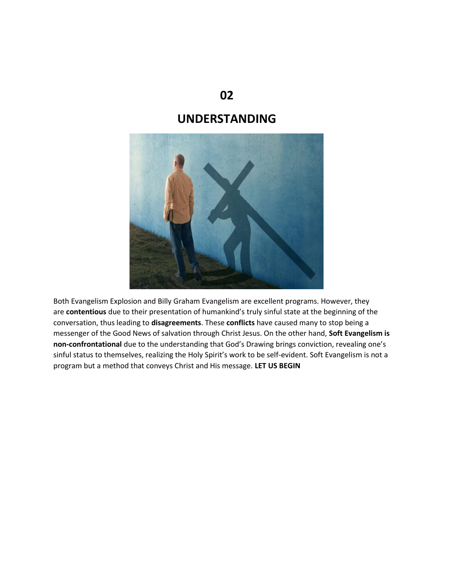### **UNDERSTANDING**



Both Evangelism Explosion and Billy Graham Evangelism are excellent programs. However, they are **contentious** due to their presentation of humankind's truly sinful state at the beginning of the conversation, thus leading to **disagreements**. These **conflicts** have caused many to stop being a messenger of the Good News of salvation through Christ Jesus. On the other hand, **Soft Evangelism is non-confrontational** due to the understanding that God's Drawing brings conviction, revealing one's sinful status to themselves, realizing the Holy Spirit's work to be self-evident. Soft Evangelism is not a program but a method that conveys Christ and His message. **LET US BEGIN**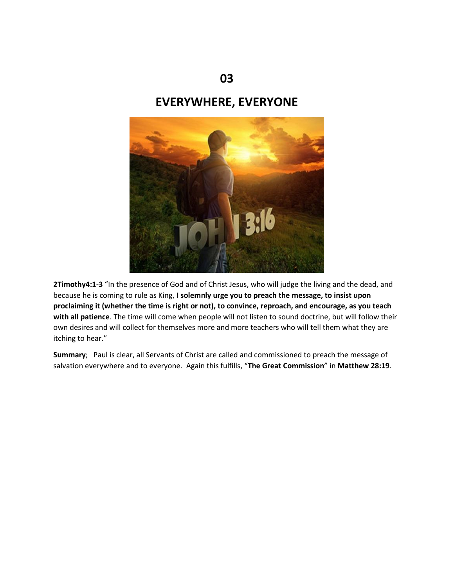## **EVERYWHERE, EVERYONE**



2Timothy4:1-3 "In the presence of God and of Christ Jesus, who will judge the living and the dead, and because he is coming to rule as King, **I solemnly urge you to preach the message, to insist upon proclaiming it (whether the time is right or not), to convince, reproach, and encourage, as you teach with all patience**. The time will come when people will not listen to sound doctrine, but will follow their own desires and will collect for themselves more and more teachers who will tell them what they are itching to hear."

**Summary**; Paul is clear, all Servants of Christ are called and commissioned to preach the message of salvation everywhere and to everyone. Again this fulfills, "**The Great Commission**" in **Matthew 28:19**.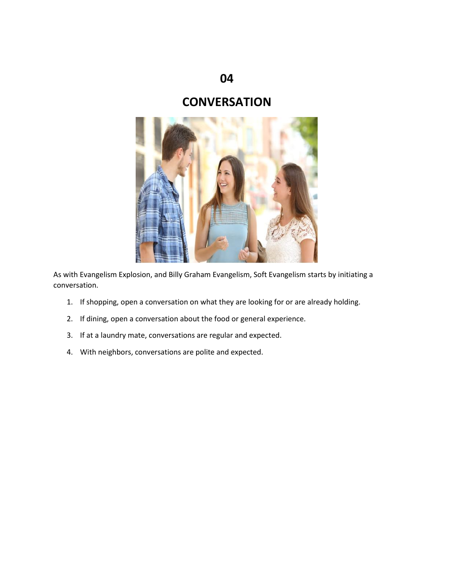## **CONVERSATION**



As with Evangelism Explosion, and Billy Graham Evangelism, Soft Evangelism starts by initiating a conversation.

- 1. If shopping, open a conversation on what they are looking for or are already holding.
- 2. If dining, open a conversation about the food or general experience.
- 3. If at a laundry mate, conversations are regular and expected.
- 4. With neighbors, conversations are polite and expected.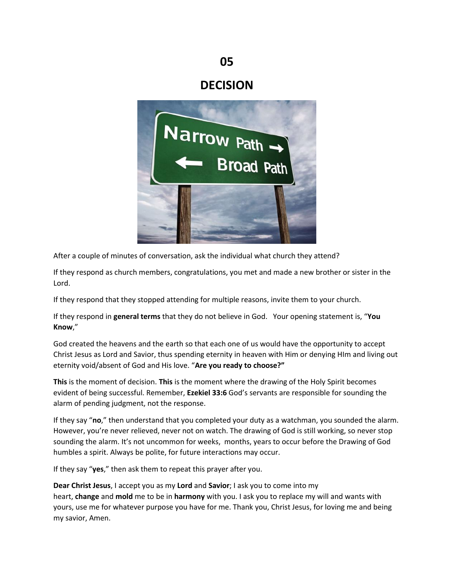#### **DECISION**



After a couple of minutes of conversation, ask the individual what church they attend?

If they respond as church members, congratulations, you met and made a new brother or sister in the Lord.

If they respond that they stopped attending for multiple reasons, invite them to your church.

If they respond in **general terms** that they do not believe in God. Your opening statement is, "**You Know**,"

God created the heavens and the earth so that each one of us would have the opportunity to accept Christ Jesus as Lord and Savior, thus spending eternity in heaven with Him or denying HIm and living out eternity void/absent of God and His love. "**Are you ready to choose?"**

**This** is the moment of decision. **This** is the moment where the drawing of the Holy Spirit becomes evident of being successful. Remember, **Ezekiel 33:6** God's servants are responsible for sounding the alarm of pending judgment, not the response.

If they say "**no**," then understand that you completed your duty as a watchman, you sounded the alarm. However, you're never relieved, never not on watch. The drawing of God is still working, so never stop sounding the alarm. It's not uncommon for weeks, months, years to occur before the Drawing of God humbles a spirit. Always be polite, for future interactions may occur.

If they say "**yes**," then ask them to repeat this prayer after you.

**Dear Christ Jesus**, I accept you as my **Lord** and **Savior**; I ask you to come into my heart, **change** and **mold** me to be in **harmony** with you. I ask you to replace my will and wants with yours, use me for whatever purpose you have for me. Thank you, Christ Jesus, for loving me and being my savior, Amen.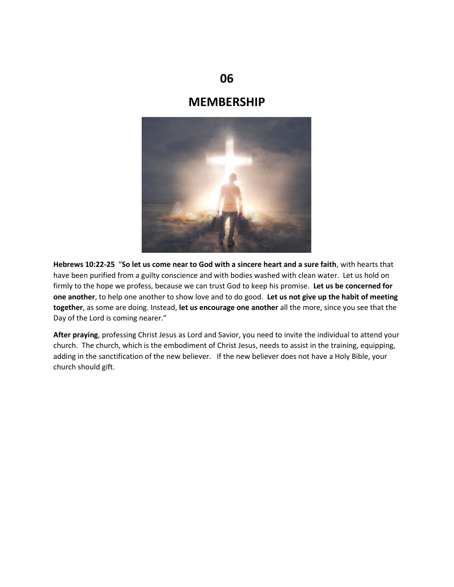## **MEMBERSHIP**



**Hebrews 10:22-25** "**So let us come near to God with a sincere heart and a sure faith**, with hearts that have been purified from a guilty conscience and with bodies washed with clean water. Let us hold on firmly to the hope we profess, because we can trust God to keep his promise. **Let us be concerned for one another**, to help one another to show love and to do good. **Let us not give up the habit of meeting together**, as some are doing. Instead, **let us encourage one another** all the more, since you see that the Day of the Lord is coming nearer."

**After praying**, professing Christ Jesus as Lord and Savior, you need to invite the individual to attend your church. The church, which is the embodiment of Christ Jesus, needs to assist in the training, equipping, adding in the sanctification of the new believer. If the new believer does not have a Holy Bible, your church should gift.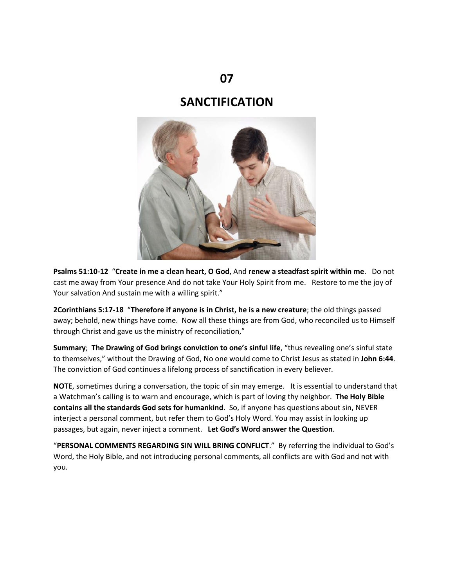## **SANCTIFICATION**



**Psalms 51:10-12** "**Create in me a clean heart, O God**, And **renew a steadfast spirit within me**. Do not cast me away from Your presence And do not take Your Holy Spirit from me. Restore to me the joy of Your salvation And sustain me with a willing spirit."

**2Corinthians 5:17-18** "**Therefore if anyone is in Christ, he is a new creature**; the old things passed away; behold, new things have come. Now all these things are from God, who reconciled us to Himself through Christ and gave us the ministry of reconciliation,"

**Summary**; **The Drawing of God brings conviction to one's sinful life**, "thus revealing one's sinful state to themselves," without the Drawing of God, No one would come to Christ Jesus as stated in **John 6:44**. The conviction of God continues a lifelong process of sanctification in every believer.

**NOTE**, sometimes during a conversation, the topic of sin may emerge. It is essential to understand that a Watchman's calling is to warn and encourage, which is part of loving thy neighbor. **The Holy Bible contains all the standards God sets for humankind**. So, if anyone has questions about sin, NEVER interject a personal comment, but refer them to God's Holy Word. You may assist in looking up passages, but again, never inject a comment. **Let God's Word answer the Question**.

"**PERSONAL COMMENTS REGARDING SIN WILL BRING CONFLICT**." By referring the individual to God's Word, the Holy Bible, and not introducing personal comments, all conflicts are with God and not with you.